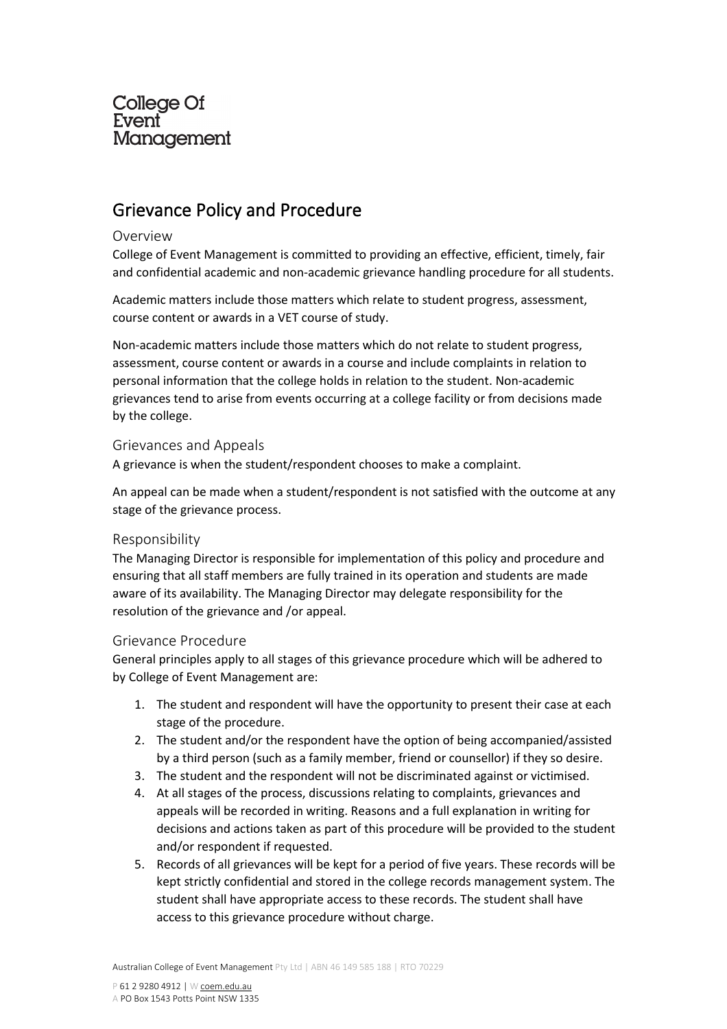# **College Of** Event Management

# Grievance Policy and Procedure

### Overview

College of Event Management is committed to providing an effective, efficient, timely, fair and confidential academic and non-academic grievance handling procedure for all students.

Academic matters include those matters which relate to student progress, assessment, course content or awards in a VET course of study.

Non-academic matters include those matters which do not relate to student progress, assessment, course content or awards in a course and include complaints in relation to personal information that the college holds in relation to the student. Non-academic grievances tend to arise from events occurring at a college facility or from decisions made by the college.

# Grievances and Appeals

A grievance is when the student/respondent chooses to make a complaint.

An appeal can be made when a student/respondent is not satisfied with the outcome at any stage of the grievance process.

# Responsibility

The Managing Director is responsible for implementation of this policy and procedure and ensuring that all staff members are fully trained in its operation and students are made aware of its availability. The Managing Director may delegate responsibility for the resolution of the grievance and /or appeal.

# Grievance Procedure

General principles apply to all stages of this grievance procedure which will be adhered to by College of Event Management are:

- 1. The student and respondent will have the opportunity to present their case at each stage of the procedure.
- 2. The student and/or the respondent have the option of being accompanied/assisted by a third person (such as a family member, friend or counsellor) if they so desire.
- 3. The student and the respondent will not be discriminated against or victimised.
- 4. At all stages of the process, discussions relating to complaints, grievances and appeals will be recorded in writing. Reasons and a full explanation in writing for decisions and actions taken as part of this procedure will be provided to the student and/or respondent if requested.
- 5. Records of all grievances will be kept for a period of five years. These records will be kept strictly confidential and stored in the college records management system. The student shall have appropriate access to these records. The student shall have access to this grievance procedure without charge.

Australian College of Event Management Pty Ltd | ABN 46 149 585 188 | RTO 70229